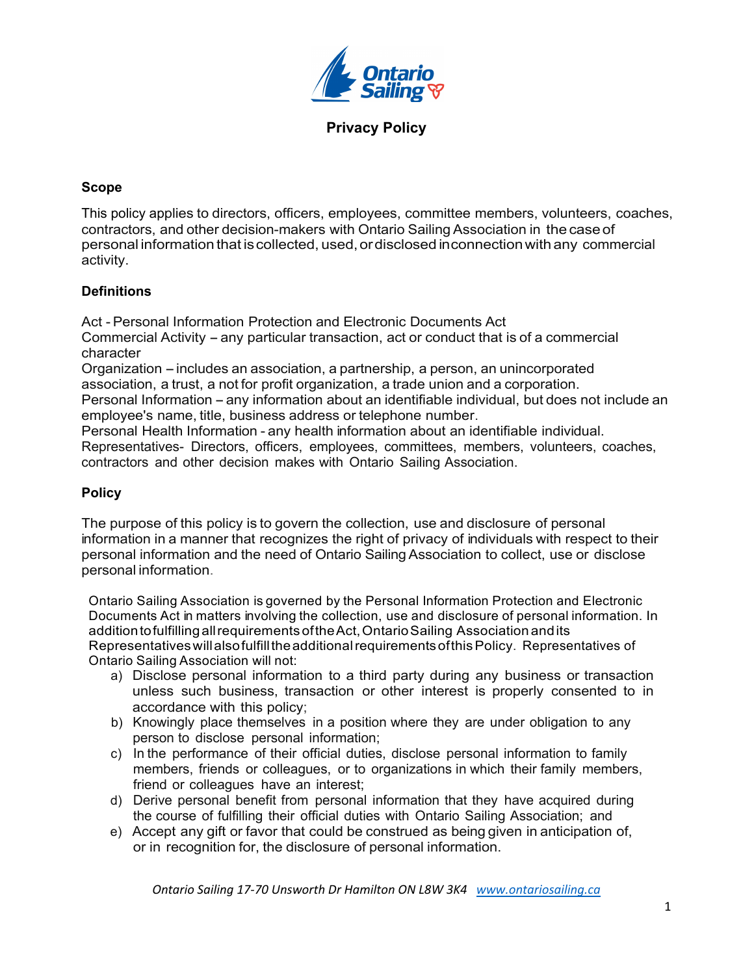

### **Scope**

This policy applies to directors, officers, employees, committee members, volunteers, coaches, contractors, and other decision-makers with Ontario Sailing Association in thecaseof personal informationthat iscollected, used,ordisclosed inconnectionwith any commercial activity.

### **Definitions**

Act - Personal Information Protection and Electronic Documents Act

Commercial Activity – any particular transaction, act or conduct that is of a commercial character

Organization – includes an association, a partnership, a person, an unincorporated association, a trust, a not for profit organization, a trade union and a corporation.

Personal Information – any information about an identifiable individual, but does not include an employee's name, title, business address or telephone number.

Personal Health Information - any health information about an identifiable individual. Representatives- Directors, officers, employees, committees, members, volunteers, coaches, contractors and other decision makes with Ontario Sailing Association.

### **Policy**

The purpose of this policy is to govern the collection, use and disclosure of personal information in a manner that recognizes the right of privacy of individuals with respect to their personal information and the need of Ontario SailingAssociation to collect, use or disclose personal information.

Ontario Sailing Association is governed by the Personal Information Protection and Electronic Documents Act in matters involving the collection, use and disclosure of personal information. In additiontofulfillingallrequirements oftheAct,OntarioSailing Association andits RepresentativeswillalsofulfilltheadditionalrequirementsofthisPolicy. Representatives of Ontario Sailing Association will not:

- a) Disclose personal information to a third party during any business or transaction unless such business, transaction or other interest is properly consented to in accordance with this policy;
- b) Knowingly place themselves in a position where they are under obligation to any person to disclose personal information;
- c) In the performance of their official duties, disclose personal information to family members, friends or colleagues, or to organizations in which their family members, friend or colleagues have an interest;
- d) Derive personal benefit from personal information that they have acquired during the course of fulfilling their official duties with Ontario Sailing Association; and
- e) Accept any gift or favor that could be construed as being given in anticipation of, or in recognition for, the disclosure of personal information.

*Ontario Sailing 17-70 Unsworth Dr Hamilton ON L8W 3K4 www.ontariosailing.ca*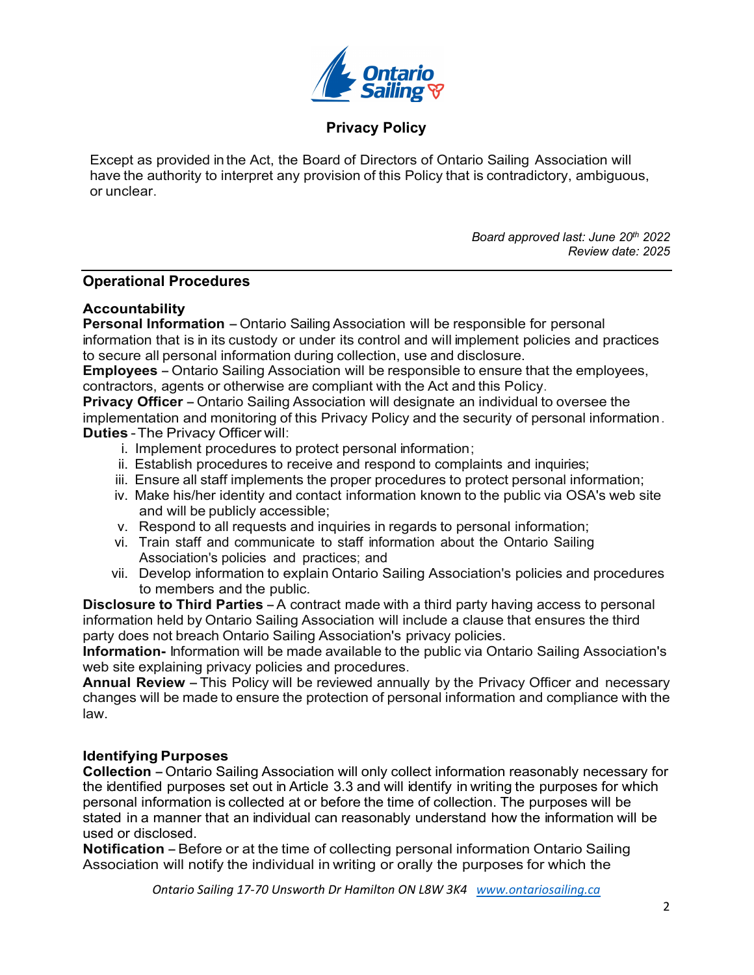

Except as provided in the Act, the Board of Directors of Ontario Sailing Association will have the authority to interpret any provision of this Policy that is contradictory, ambiguous, or unclear.

> *Board approved last: June 20th 2022 Review date: 2025*

#### **Operational Procedures**

#### **Accountability**

**Personal Information** – Ontario Sailing Association will be responsible for personal information that is in its custody or under its control and will implement policies and practices to secure all personal information during collection, use and disclosure.

**Employees** -Ontario Sailing Association will be responsible to ensure that the employees, contractors, agents or otherwise are compliant with the Act and this Policy.

**Privacy Officer** – Ontario Sailing Association will designate an individual to oversee the implementation and monitoring of this Privacy Policy and the security of personal information. **Duties** -The Privacy Officer will:

- i. Implement procedures to protect personal information;
- ii. Establish procedures to receive and respond to complaints and inquiries;
- iii. Ensure all staff implements the proper procedures to protect personal information;
- iv. Make his/her identity and contact information known to the public via OSA's web site and will be publicly accessible;
- v. Respond to all requests and inquiries in regards to personal information;
- vi. Train staff and communicate to staff information about the Ontario Sailing Association's policies and practices; and
- vii. Develop information to explain Ontario Sailing Association's policies and procedures to members and the public.

**Disclosure to Third Parties** -A contract made with <sup>a</sup> third party having access to personal information held by Ontario Sailing Association will include a clause that ensures the third party does not breach Ontario Sailing Association's privacy policies.

**Information-** Information will be made available to the public via Ontario Sailing Association's web site explaining privacy policies and procedures.

**Annual Review** -This Policy will be reviewed annually by the Privacy Officer and necessary changes will be made to ensure the protection of personal information and compliance with the law.

#### **Identifying Purposes**

**Collection** - Ontario Sailing Association will only collect information reasonably necessary for the identified purposes set out in Article 3.3 and will identify in writing the purposes for which personal information is collected at or before the time of collection. The purposes will be stated in a manner that an individual can reasonably understand how the information will be used or disclosed.

**Notification** – Before or at the time of collecting personal information Ontario Sailing Association will notify the individual in writing or orally the purposes for which the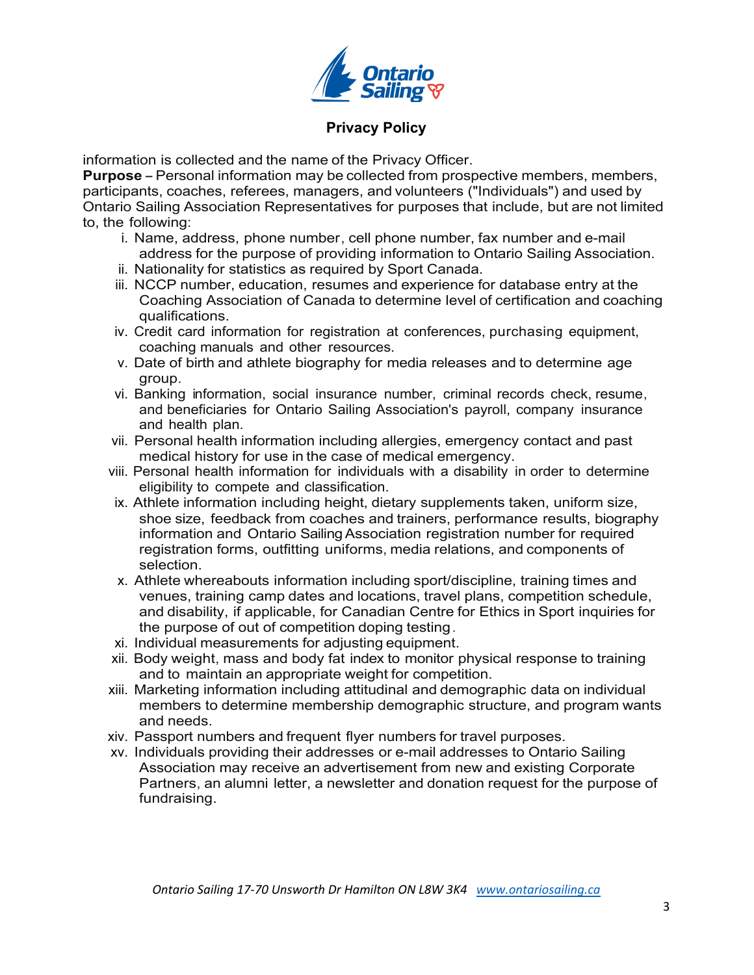

information is collected and the name of the Privacy Officer.

**Purpose** – Personal information may be collected from prospective members, members, participants, coaches, referees, managers, and volunteers ("Individuals") and used by Ontario Sailing Association Representatives for purposes that include, but are not limited to, the following:

- i. Name, address, phone number, cell phone number, fax number and e-mail address for the purpose of providing information to Ontario Sailing Association.
- ii. Nationality for statistics as required by Sport Canada.
- iii. NCCP number, education, resumes and experience for database entry at the Coaching Association of Canada to determine level of certification and coaching qualifications.
- iv. Credit card information for registration at conferences, purchasing equipment, coaching manuals and other resources.
- v. Date of birth and athlete biography for media releases and to determine age group.
- vi. Banking information, social insurance number, criminal records check, resume, and beneficiaries for Ontario Sailing Association's payroll, company insurance and health plan.
- vii. Personal health information including allergies, emergency contact and past medical history for use in the case of medical emergency.
- viii. Personal health information for individuals with a disability in order to determine eligibility to compete and classification.
- ix. Athlete information including height, dietary supplements taken, uniform size, shoe size, feedback from coaches and trainers, performance results, biography information and Ontario SailingAssociation registration number for required registration forms, outfitting uniforms, media relations, and components of selection.
- x. Athlete whereabouts information including sport/discipline, training times and venues, training camp dates and locations, travel plans, competition schedule, and disability, if applicable, for Canadian Centre for Ethics in Sport inquiries for the purpose of out of competition doping testing.
- xi. Individual measurements for adjusting equipment.
- xii. Body weight, mass and body fat index to monitor physical response to training and to maintain an appropriate weight for competition.
- xiii. Marketing information including attitudinal and demographic data on individual members to determine membership demographic structure, and program wants and needs.
- xiv. Passport numbers and frequent flyer numbers for travel purposes.
- xv. Individuals providing their addresses or e-mail addresses to Ontario Sailing Association may receive an advertisement from new and existing Corporate Partners, an alumni letter, a newsletter and donation request for the purpose of fundraising.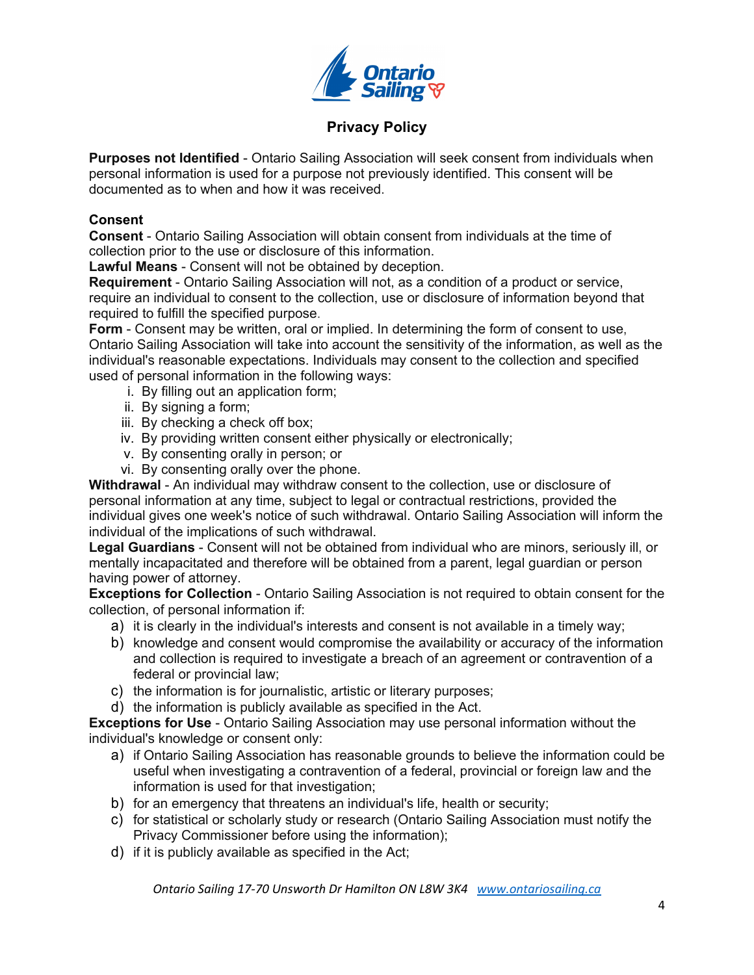

**Purposes not Identified** - Ontario Sailing Association will seek consent from individuals when personal information is used for a purpose not previously identified. This consent will be documented as to when and how it was received.

### **Consent**

**Consent** - Ontario Sailing Association will obtain consent from individuals at the time of collection prior to the use or disclosure of this information.

**Lawful Means** - Consent will not be obtained by deception.

**Requirement** - Ontario Sailing Association will not, as a condition of a product or service, require an individual to consent to the collection, use or disclosure of information beyond that required to fulfill the specified purpose.

**Form** - Consent may be written, oral or implied. In determining the form of consent to use, Ontario Sailing Association will take into account the sensitivity of the information, as well as the individual's reasonable expectations. Individuals may consent to the collection and specified used of personal information in the following ways:

- i. By filling out an application form;
- ii. By signing a form;
- iii. By checking a check off box;
- iv. By providing written consent either physically or electronically;
- v. By consenting orally in person; or
- vi. By consenting orally over the phone.

**Withdrawal** - An individual may withdraw consent to the collection, use or disclosure of personal information at any time, subject to legal or contractual restrictions, provided the individual gives one week's notice of such withdrawal. Ontario Sailing Association will inform the individual of the implications of such withdrawal.

**Legal Guardians** - Consent will not be obtained from individual who are minors, seriously ill, or mentally incapacitated and therefore will be obtained from a parent, legal guardian or person having power of attorney.

**Exceptions for Collection** - Ontario Sailing Association is not required to obtain consent for the collection, of personal information if:

- a) it is clearly in the individual's interests and consent is not available in a timely way;
- b) knowledge and consent would compromise the availability or accuracy of the information and collection is required to investigate a breach of an agreement or contravention of a federal or provincial law;
- c) the information is for journalistic, artistic or literary purposes;
- d) the information is publicly available as specified in the Act.

**Exceptions for Use** - Ontario Sailing Association may use personal information without the individual's knowledge or consent only:

- a) if Ontario Sailing Association has reasonable grounds to believe the information could be useful when investigating a contravention of a federal, provincial or foreign law and the information is used for that investigation;
- b) for an emergency that threatens an individual's life, health or security;
- c) for statistical or scholarly study or research (Ontario Sailing Association must notify the Privacy Commissioner before using the information);
- d) if it is publicly available as specified in the Act;

*Ontario Sailing 17-70 Unsworth Dr Hamilton ON L8W 3K4 www.ontariosailing.ca*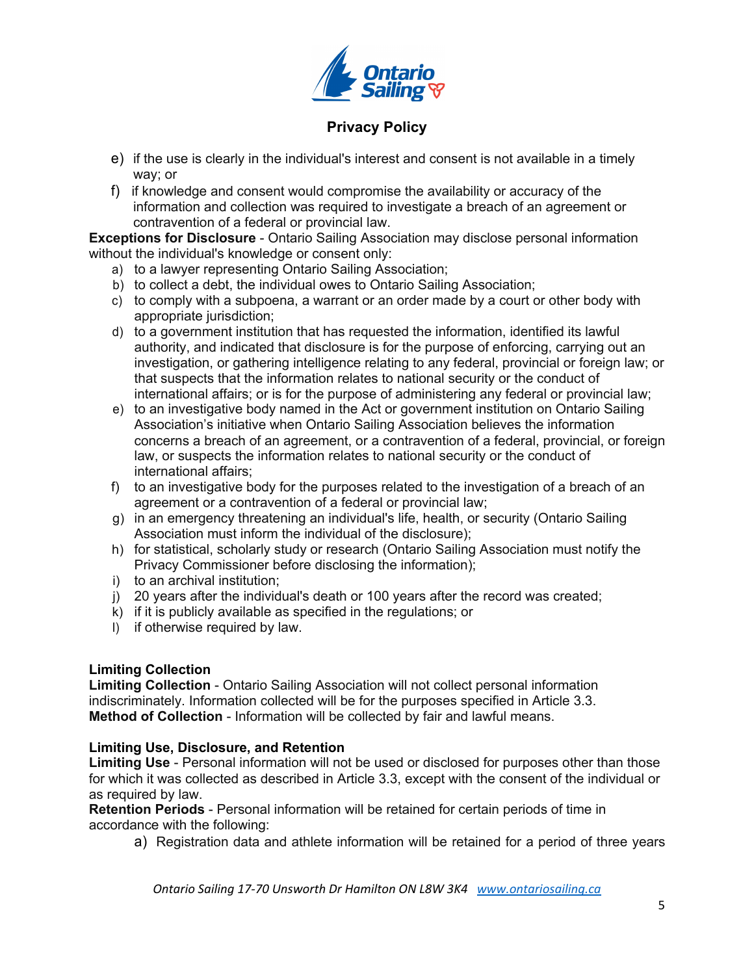

- e) if the use is clearly in the individual's interest and consent is not available in a timely way; or
- f) if knowledge and consent would compromise the availability or accuracy of the information and collection was required to investigate a breach of an agreement or contravention of a federal or provincial law.

**Exceptions for Disclosure** - Ontario Sailing Association may disclose personal information without the individual's knowledge or consent only:

- a) to a lawyer representing Ontario Sailing Association;
- b) to collect a debt, the individual owes to Ontario Sailing Association;
- c) to comply with a subpoena, a warrant or an order made by a court or other body with appropriate jurisdiction;
- d) to a government institution that has requested the information, identified its lawful authority, and indicated that disclosure is for the purpose of enforcing, carrying out an investigation, or gathering intelligence relating to any federal, provincial or foreign law; or that suspects that the information relates to national security or the conduct of international affairs; or is for the purpose of administering any federal or provincial law;
- e) to an investigative body named in the Act or government institution on Ontario Sailing Association's initiative when Ontario Sailing Association believes the information concerns a breach of an agreement, or a contravention of a federal, provincial, or foreign law, or suspects the information relates to national security or the conduct of international affairs;
- f) to an investigative body for the purposes related to the investigation of a breach of an agreement or a contravention of a federal or provincial law;
- g) in an emergency threatening an individual's life, health, or security (Ontario Sailing Association must inform the individual of the disclosure);
- h) for statistical, scholarly study or research (Ontario Sailing Association must notify the Privacy Commissioner before disclosing the information);
- i) to an archival institution;
- j) 20 years after the individual's death or 100 years after the record was created;
- k) if it is publicly available as specified in the regulations; or
- I) if otherwise required by law.

#### **Limiting Collection**

**Limiting Collection** - Ontario Sailing Association will not collect personal information indiscriminately. Information collected will be for the purposes specified in Article 3.3. **Method of Collection** - Information will be collected by fair and lawful means.

#### **Limiting Use, Disclosure, and Retention**

**Limiting Use** - Personal information will not be used or disclosed for purposes other than those for which it was collected as described in Article 3.3, except with the consent of the individual or as required by law.

**Retention Periods** - Personal information will be retained for certain periods of time in accordance with the following:

a) Registration data and athlete information will be retained for a period of three years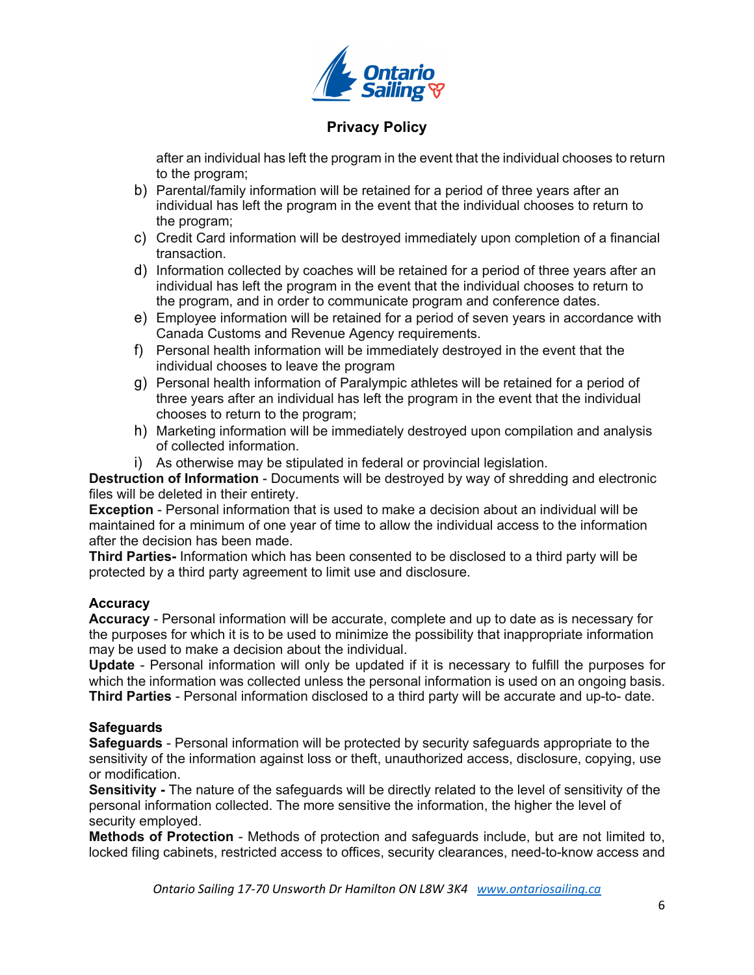

after an individual has left the program in the event that the individual chooses to return to the program;

- b) Parental/family information will be retained for a period of three years after an individual has left the program in the event that the individual chooses to return to the program;
- c) Credit Card information will be destroyed immediately upon completion of a financial transaction.
- d) Information collected by coaches will be retained for a period of three years after an individual has left the program in the event that the individual chooses to return to the program, and in order to communicate program and conference dates.
- e) Employee information will be retained for a period of seven years in accordance with Canada Customs and Revenue Agency requirements.
- f) Personal health information will be immediately destroyed in the event that the individual chooses to leave the program
- g) Personal health information of Paralympic athletes will be retained for a period of three years after an individual has left the program in the event that the individual chooses to return to the program;
- h) Marketing information will be immediately destroyed upon compilation and analysis of collected information.
- i) As otherwise may be stipulated in federal or provincial legislation.

**Destruction of Information** - Documents will be destroyed by way of shredding and electronic files will be deleted in their entirety.

**Exception** - Personal information that is used to make a decision about an individual will be maintained for a minimum of one year of time to allow the individual access to the information after the decision has been made.

**Third Parties-** Information which has been consented to be disclosed to a third party will be protected by a third party agreement to limit use and disclosure.

## **Accuracy**

**Accuracy** - Personal information will be accurate, complete and up to date as is necessary for the purposes for which it is to be used to minimize the possibility that inappropriate information may be used to make a decision about the individual.

**Update** - Personal information will only be updated if it is necessary to fulfill the purposes for which the information was collected unless the personal information is used on an ongoing basis. **Third Parties** - Personal information disclosed to a third party will be accurate and up-to- date.

## **Safeguards**

**Safeguards** - Personal information will be protected by security safeguards appropriate to the sensitivity of the information against loss or theft, unauthorized access, disclosure, copying, use or modification.

**Sensitivity -** The nature of the safeguards will be directly related to the level of sensitivity of the personal information collected. The more sensitive the information, the higher the level of security employed.

**Methods of Protection** - Methods of protection and safeguards include, but are not limited to, locked filing cabinets, restricted access to offices, security clearances, need-to-know access and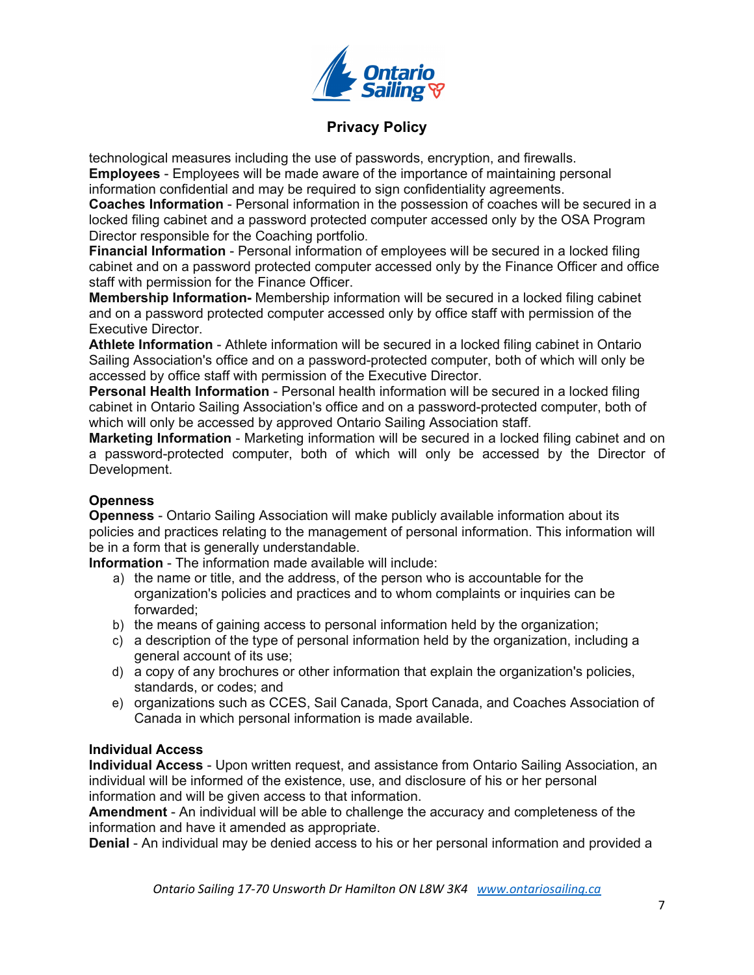

technological measures including the use of passwords, encryption, and firewalls. **Employees** - Employees will be made aware of the importance of maintaining personal information confidential and may be required to sign confidentiality agreements.

**Coaches Information** - Personal information in the possession of coaches will be secured in a locked filing cabinet and a password protected computer accessed only by the OSA Program Director responsible for the Coaching portfolio.

**Financial Information** - Personal information of employees will be secured in a locked filing cabinet and on a password protected computer accessed only by the Finance Officer and office staff with permission for the Finance Officer.

**Membership Information-** Membership information will be secured in a locked filing cabinet and on a password protected computer accessed only by office staff with permission of the Executive Director.

**Athlete Information** - Athlete information will be secured in a locked filing cabinet in Ontario Sailing Association's office and on a password-protected computer, both of which will only be accessed by office staff with permission of the Executive Director.

**Personal Health Information** - Personal health information will be secured in a locked filing cabinet in Ontario Sailing Association's office and on a password-protected computer, both of which will only be accessed by approved Ontario Sailing Association staff.

**Marketing Information** - Marketing information will be secured in a locked filing cabinet and on a password-protected computer, both of which will only be accessed by the Director of Development.

## **Openness**

**Openness** - Ontario Sailing Association will make publicly available information about its policies and practices relating to the management of personal information. This information will be in a form that is generally understandable.

**Information** - The information made available will include:

- a) the name or title, and the address, of the person who is accountable for the organization's policies and practices and to whom complaints or inquiries can be forwarded;
- b) the means of gaining access to personal information held by the organization;
- c) a description of the type of personal information held by the organization, including a general account of its use;
- d) a copy of any brochures or other information that explain the organization's policies, standards, or codes; and
- e) organizations such as CCES, Sail Canada, Sport Canada, and Coaches Association of Canada in which personal information is made available.

#### **Individual Access**

**Individual Access** - Upon written request, and assistance from Ontario Sailing Association, an individual will be informed of the existence, use, and disclosure of his or her personal information and will be given access to that information.

**Amendment** - An individual will be able to challenge the accuracy and completeness of the information and have it amended as appropriate.

**Denial** - An individual may be denied access to his or her personal information and provided a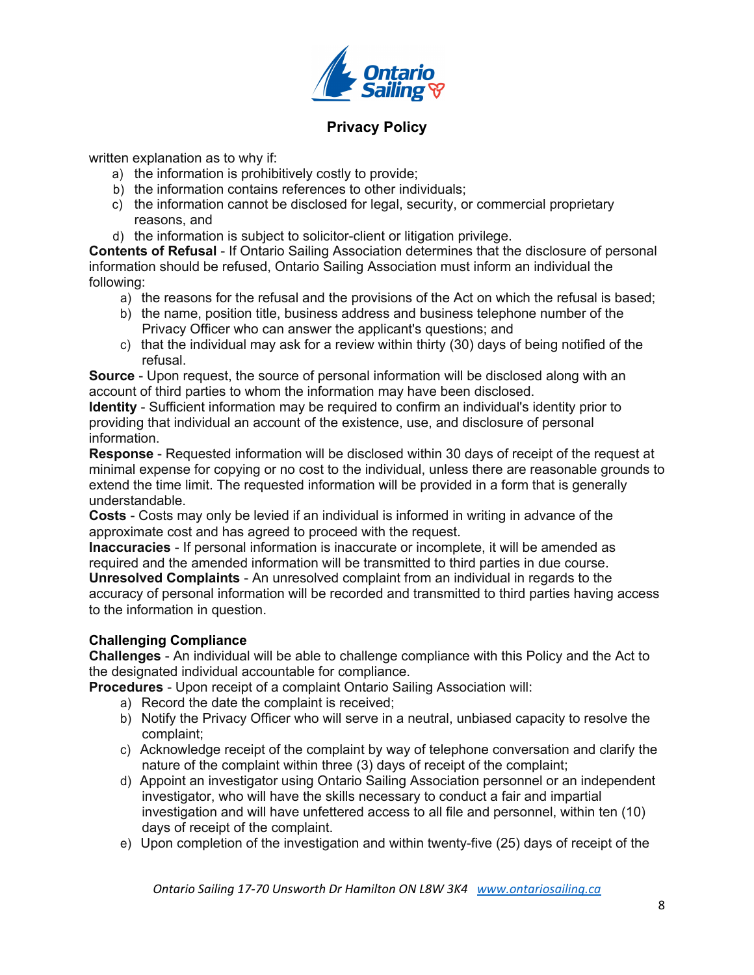

written explanation as to why if:

- a) the information is prohibitively costly to provide;
- b) the information contains references to other individuals;
- c) the information cannot be disclosed for legal, security, or commercial proprietary reasons, and
- d) the information is subject to solicitor-client or litigation privilege.

**Contents of Refusal** - If Ontario Sailing Association determines that the disclosure of personal information should be refused, Ontario Sailing Association must inform an individual the following:

- a) the reasons for the refusal and the provisions of the Act on which the refusal is based;
- b) the name, position title, business address and business telephone number of the Privacy Officer who can answer the applicant's questions; and
- c) that the individual may ask for a review within thirty (30) days of being notified of the refusal.

**Source** - Upon request, the source of personal information will be disclosed along with an account of third parties to whom the information may have been disclosed.

**Identity** - Sufficient information may be required to confirm an individual's identity prior to providing that individual an account of the existence, use, and disclosure of personal information.

**Response** - Requested information will be disclosed within 30 days of receipt of the request at minimal expense for copying or no cost to the individual, unless there are reasonable grounds to extend the time limit. The requested information will be provided in a form that is generally understandable.

**Costs** - Costs may only be levied if an individual is informed in writing in advance of the approximate cost and has agreed to proceed with the request.

**Inaccuracies** - If personal information is inaccurate or incomplete, it will be amended as required and the amended information will be transmitted to third parties in due course. **Unresolved Complaints** - An unresolved complaint from an individual in regards to the

accuracy of personal information will be recorded and transmitted to third parties having access to the information in question.

## **Challenging Compliance**

**Challenges** - An individual will be able to challenge compliance with this Policy and the Act to the designated individual accountable for compliance.

**Procedures** - Upon receipt of a complaint Ontario Sailing Association will:

- a) Record the date the complaint is received;
- b) Notify the Privacy Officer who will serve in a neutral, unbiased capacity to resolve the complaint;
- c) Acknowledge receipt of the complaint by way of telephone conversation and clarify the nature of the complaint within three (3) days of receipt of the complaint;
- d) Appoint an investigator using Ontario Sailing Association personnel or an independent investigator, who will have the skills necessary to conduct a fair and impartial investigation and will have unfettered access to all file and personnel, within ten (10) days of receipt of the complaint.
- e) Upon completion of the investigation and within twenty-five (25) days of receipt of the